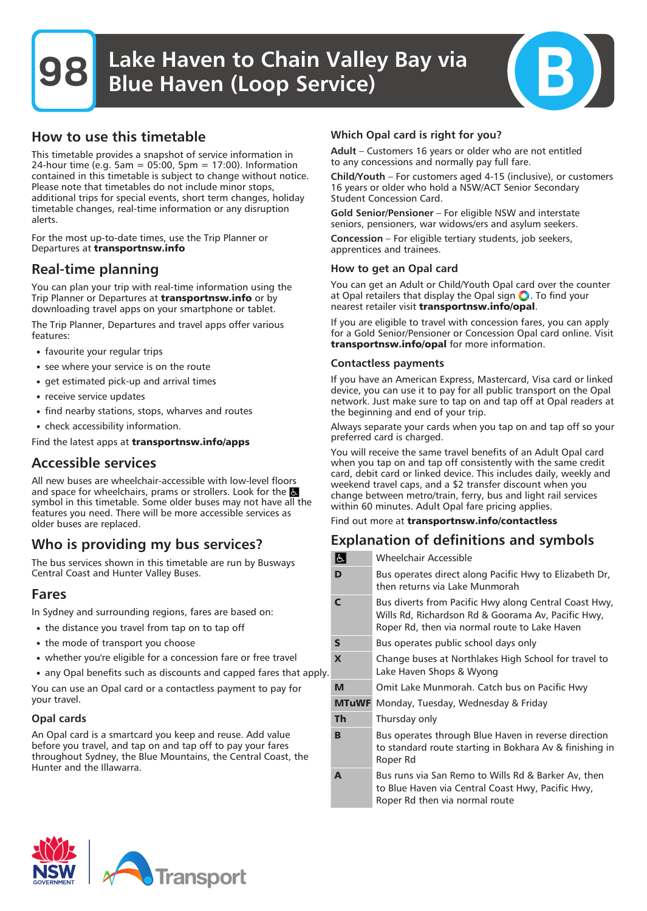## How to use this timetable

This timetable provides a snapshot of service information in 24-hour time (e.g. 5am = 05:00, 5pm = 17:00). Information contained in this timetable is subject to change without notice. Please note that timetables do not include minor stops, additional trips for special events, short term changes, holiday timetable changes, real-time information or any disruption alerts.

For the most up-to-date times, use the Trip Planner or Departures at **transportnsw.info**

### Real-time planning

You can plan your trip with real-time information using the Trip Planner or Departures at **transportnsw.info** or by downloading travel apps on your smartphone or tablet.

The Trip Planner, Departures and travel apps offer various features:

- favourite your regular trips
- see where your service is on the route
- get estimated pick-up and arrival times
- receive service updates
- find nearby stations, stops, wharves and routes
- check accessibility information.

Find the latest apps at **transportnsw.info/apps**

### Accessible services

All new buses are wheelchair-accessible with low-level floors and space for wheelchairs, prams or strollers. Look for the symbol in this timetable. Some older buses may not have all the features you need. There will be more accessible services as older buses are replaced.

# Who is providing my bus services?

The bus services shown in this timetable are run by Busways Central Coast and Hunter Valley Buses.

### Fares

In Sydney and surrounding regions, fares are based on:

- the distance you travel from tap on to tap off
- the mode of transport you choose
- whether you're eligible for a concession fare or free travel
- any Opal benefits such as discounts and capped fares that apply

You can use an Opal card or a contactless payment to pay for your travel.

#### Opal cards

An Opal card is a smartcard you keep and reuse. Add value before you travel, and tap on and tap off to pay your fares throughout Sydney, the Blue Mountains, the Central Coast, the Hunter and the Illawarra.

### Which Opal card is right for you?

Adult – Customers 16 years or older who are not entitled to any concessions and normally pay full fare.

Child/Youth – For customers aged 4-15 (inclusive), or customers 16 years or older who hold a NSW/ACT Senior Secondary Student Concession Card.

Gold Senior/Pensioner – For eligible NSW and interstate seniors, pensioners, war widows/ers and asylum seekers.

Concession – For eligible tertiary students, job seekers, apprentices and trainees.

#### How to get an Opal card

You can get an Adult or Child/Youth Opal card over the counter at Opal retailers that display the Opal sign  $\bigcirc$ . To find your nearest retailer visit **transportnsw.info/opal**.

If you are eligible to travel with concession fares, you can apply for a Gold Senior/Pensioner or Concession Opal card online. Visit **transportnsw.info/opal** for more information.

#### Contactless payments

If you have an American Express, Mastercard, Visa card or linked device, you can use it to pay for all public transport on the Opal network. Just make sure to tap on and tap off at Opal readers at the beginning and end of your trip.

Always separate your cards when you tap on and tap off so your preferred card is charged.

You will receive the same travel benefits of an Adult Opal card when you tap on and tap off consistently with the same credit card, debit card or linked device. This includes daily, weekly and weekend travel caps, and a \$2 transfer discount when you change between metro/train, ferry, bus and light rail services within 60 minutes. Adult Opal fare pricing applies.

Find out more at **transportnsw.info/contactless**

# Explanation of definitions and symbols

|    | s            | Wheelchair Accessible                                                                                                                                        |
|----|--------------|--------------------------------------------------------------------------------------------------------------------------------------------------------------|
|    | D            | Bus operates direct along Pacific Hwy to Elizabeth Dr,<br>then returns via Lake Munmorah                                                                     |
|    | C            | Bus diverts from Pacific Hwy along Central Coast Hwy,<br>Wills Rd, Richardson Rd & Goorama Av, Pacific Hwy,<br>Roper Rd, then via normal route to Lake Haven |
|    | $\mathsf{s}$ | Bus operates public school days only                                                                                                                         |
| Ι. | X            | Change buses at Northlakes High School for travel to<br>Lake Haven Shops & Wyong                                                                             |
|    | M            | Omit Lake Munmorah. Catch bus on Pacific Hwy                                                                                                                 |
|    | <b>MTuWF</b> | Monday, Tuesday, Wednesday & Friday                                                                                                                          |
|    | Th           | Thursday only                                                                                                                                                |
|    | B            | Bus operates through Blue Haven in reverse direction<br>to standard route starting in Bokhara Av & finishing in<br>Roper Rd                                  |
|    | A            | Bus runs via San Remo to Wills Rd & Barker Av, then<br>to Blue Haven via Central Coast Hwy, Pacific Hwy,<br>Roper Rd then via normal route                   |

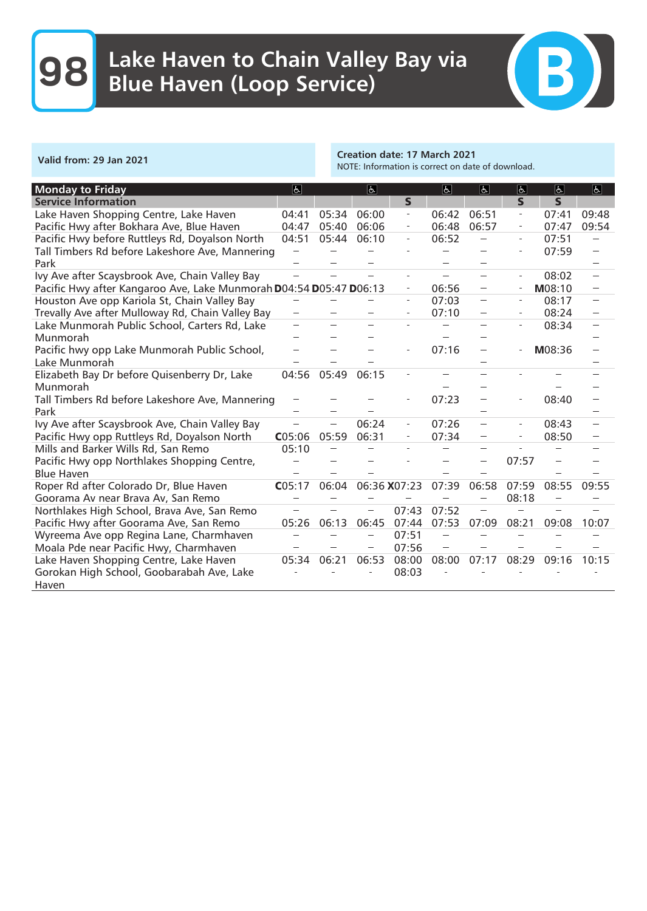

Valid from: 29 Jan 2021 Creation date: 17 March 2021 NOTE: Information is correct on date of download.

| <b>Monday to Friday</b>                                            | E      |       | $\vert \mathbf{F} \vert$ |                          | $\sqrt{2}$ | E                               | $\vert$                  | $ \mathbf{F} $ | $\overline{a}$ |
|--------------------------------------------------------------------|--------|-------|--------------------------|--------------------------|------------|---------------------------------|--------------------------|----------------|----------------|
| <b>Service Information</b>                                         |        |       |                          | $\mathsf{s}$             |            |                                 | $\mathbf{s}$             | $\mathsf{s}$   |                |
| Lake Haven Shopping Centre, Lake Haven                             | 04:41  | 05:34 | 06:00                    | $\overline{\phantom{a}}$ | 06:42      | 06:51                           | $\overline{\phantom{a}}$ | 07:41          | 09:48          |
| Pacific Hwy after Bokhara Ave, Blue Haven                          | 04:47  | 05:40 | 06:06                    | $\overline{a}$           | 06:48      | 06:57                           |                          | 07:47          | 09:54          |
| Pacific Hwy before Ruttleys Rd, Doyalson North                     | 04:51  | 05:44 | 06:10                    | $\overline{\phantom{a}}$ | 06:52      |                                 |                          | 07:51          |                |
| Tall Timbers Rd before Lakeshore Ave, Mannering                    |        |       |                          |                          |            |                                 |                          | 07:59          |                |
| Park                                                               |        |       |                          |                          |            |                                 |                          |                |                |
| Ivy Ave after Scaysbrook Ave, Chain Valley Bay                     |        |       |                          |                          |            |                                 |                          | 08:02          |                |
| Pacific Hwy after Kangaroo Ave, Lake Munmorah D04:54 D05:47 D06:13 |        |       |                          | $\overline{a}$           | 06:56      | $\hspace{0.1mm}-\hspace{0.1mm}$ |                          | M08:10         |                |
| Houston Ave opp Kariola St, Chain Valley Bay                       |        |       |                          | $\overline{\phantom{a}}$ | 07:03      | $\sim$                          |                          | 08:17          | $\sim$         |
| Trevally Ave after Mulloway Rd, Chain Valley Bay                   |        |       |                          |                          | 07:10      |                                 |                          | 08:24          |                |
| Lake Munmorah Public School, Carters Rd, Lake                      |        |       |                          |                          |            |                                 |                          | 08:34          |                |
| Munmorah                                                           |        |       |                          |                          |            |                                 |                          |                |                |
| Pacific hwy opp Lake Munmorah Public School,                       |        |       |                          |                          | 07:16      |                                 |                          | M08:36         |                |
| Lake Munmorah                                                      |        |       |                          |                          |            |                                 |                          |                |                |
| Elizabeth Bay Dr before Quisenberry Dr, Lake                       | 04:56  | 05:49 | 06:15                    |                          |            |                                 |                          |                |                |
| Munmorah                                                           |        |       |                          |                          |            |                                 |                          |                |                |
| Tall Timbers Rd before Lakeshore Ave, Mannering                    |        |       |                          |                          | 07:23      |                                 |                          | 08:40          |                |
| Park                                                               |        |       |                          |                          |            |                                 |                          |                |                |
| Ivy Ave after Scaysbrook Ave, Chain Valley Bay                     |        |       | 06:24                    | $\equiv$                 | 07:26      | $\overline{\phantom{a}}$        | $\equiv$                 | 08:43          |                |
| Pacific Hwy opp Ruttleys Rd, Doyalson North                        | CO5:06 | 05:59 | 06:31                    |                          | 07:34      |                                 |                          | 08:50          |                |
| Mills and Barker Wills Rd, San Remo                                | 05:10  |       |                          |                          |            |                                 |                          |                |                |
| Pacific Hwy opp Northlakes Shopping Centre,                        |        |       |                          |                          |            |                                 | 07:57                    |                |                |
| <b>Blue Haven</b>                                                  |        |       |                          |                          |            |                                 |                          |                |                |
| Roper Rd after Colorado Dr, Blue Haven                             | CO5:17 | 06:04 | 06:36 X07:23             |                          | 07:39      | 06:58                           | 07:59                    | 08:55          | 09:55          |
| Goorama Av near Brava Av, San Remo                                 |        |       |                          |                          |            |                                 | 08:18                    |                |                |
| Northlakes High School, Brava Ave, San Remo                        |        |       |                          | 07:43                    | 07:52      |                                 |                          |                |                |
| Pacific Hwy after Goorama Ave, San Remo                            | 05:26  | 06:13 | 06:45                    | 07:44                    | 07:53      | 07:09                           | 08:21                    | 09:08          | 10:07          |
| Wyreema Ave opp Regina Lane, Charmhaven                            |        |       |                          | 07:51                    |            |                                 |                          |                |                |
| Moala Pde near Pacific Hwy, Charmhaven                             |        |       |                          | 07:56                    |            |                                 |                          |                |                |
| Lake Haven Shopping Centre, Lake Haven                             | 05:34  | 06:21 | 06:53                    | 08:00                    | 08:00      | 07:17                           | 08:29                    | 09:16          | 10:15          |
| Gorokan High School, Goobarabah Ave, Lake                          |        |       |                          | 08:03                    |            |                                 |                          |                |                |
| Haven                                                              |        |       |                          |                          |            |                                 |                          |                |                |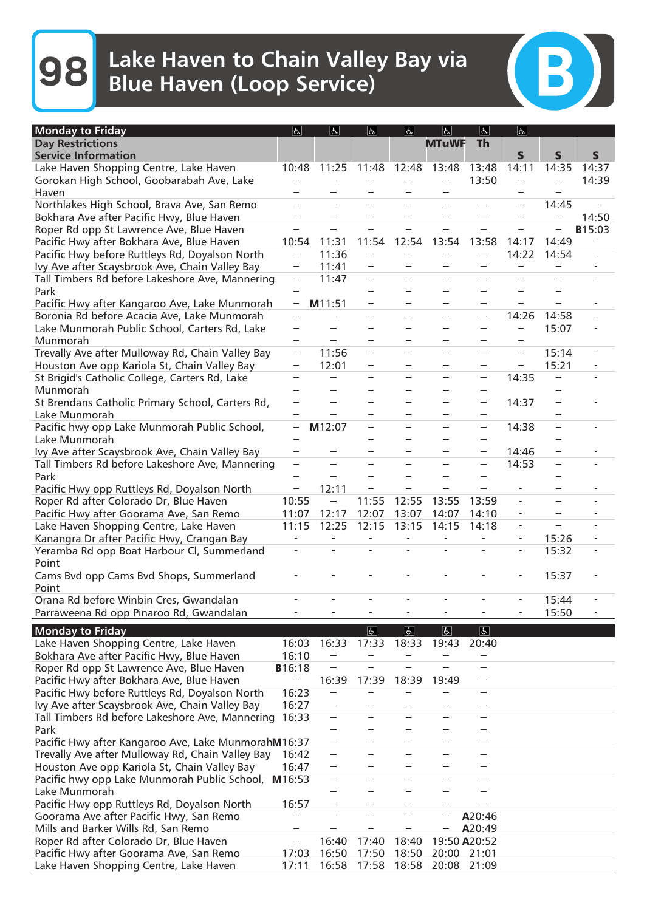**98** Lake Haven to Chain Valley Bay via Blue Haven (Loop Service)

| <b>Monday to Friday</b>                          | E                        | $\overline{f}$           | $\overline{d}$                    | $\overline{d}$           | $\overline{d}$                    | $\overline{5}$                    | $\overline{5}$           |             |                   |
|--------------------------------------------------|--------------------------|--------------------------|-----------------------------------|--------------------------|-----------------------------------|-----------------------------------|--------------------------|-------------|-------------------|
| <b>Day Restrictions</b>                          |                          |                          |                                   |                          | <b>MTuWF</b>                      | <b>Th</b>                         |                          |             |                   |
| <b>Service Information</b>                       |                          |                          |                                   |                          |                                   |                                   | $\mathsf{s}$             | $\mathbf S$ | $\mathsf{s}$      |
| Lake Haven Shopping Centre, Lake Haven           | 10:48                    | 11:25                    | 11:48                             | 12:48                    | 13:48                             | 13:48                             | 14:11                    | 14:35       | 14:37             |
| Gorokan High School, Goobarabah Ave, Lake        |                          |                          |                                   |                          |                                   | 13:50                             |                          |             | 14:39             |
| Haven                                            |                          |                          |                                   |                          |                                   |                                   |                          |             |                   |
| Northlakes High School, Brava Ave, San Remo      |                          |                          |                                   |                          |                                   |                                   |                          | 14:45       |                   |
| Bokhara Ave after Pacific Hwy, Blue Haven        |                          |                          |                                   |                          |                                   |                                   |                          |             | 14:50             |
| Roper Rd opp St Lawrence Ave, Blue Haven         |                          |                          |                                   |                          |                                   |                                   |                          |             | <b>B</b> 15:03    |
| Pacific Hwy after Bokhara Ave, Blue Haven        | 10:54                    | 11:31                    | 11:54                             | 12:54                    | 13:54                             | 13:58                             | 14:17                    | 14:49       | $\qquad \qquad -$ |
| Pacific Hwy before Ruttleys Rd, Doyalson North   |                          | 11:36                    |                                   |                          |                                   |                                   | 14:22                    | 14:54       | ÷,                |
| Ivy Ave after Scaysbrook Ave, Chain Valley Bay   | $\overline{\phantom{a}}$ | 11:41                    | $\overline{\phantom{a}}$          |                          |                                   |                                   | $\overline{a}$           |             |                   |
| Tall Timbers Rd before Lakeshore Ave, Mannering  | $\overline{\phantom{a}}$ | 11:47                    | $\overline{\phantom{a}}$          |                          |                                   | -                                 |                          |             |                   |
| Park                                             |                          |                          |                                   |                          |                                   |                                   |                          |             |                   |
| Pacific Hwy after Kangaroo Ave, Lake Munmorah    |                          | M11:51                   |                                   |                          |                                   |                                   |                          |             |                   |
| Boronia Rd before Acacia Ave, Lake Munmorah      |                          |                          | $\overline{\phantom{a}}$          |                          | $\sim$                            | $\sim$                            | 14:26                    | 14:58       |                   |
| Lake Munmorah Public School, Carters Rd, Lake    |                          |                          |                                   |                          |                                   |                                   |                          | 15:07       |                   |
| Munmorah                                         |                          |                          |                                   |                          |                                   |                                   | $\sim$                   |             |                   |
| Trevally Ave after Mulloway Rd, Chain Valley Bay | -                        | 11:56                    | $\sim$                            | $\overline{\phantom{a}}$ | $\sim$                            | $\overline{\phantom{a}}$          | $\overline{\phantom{a}}$ | 15:14       |                   |
| Houston Ave opp Kariola St, Chain Valley Bay     | $\overline{\phantom{a}}$ | 12:01                    |                                   |                          |                                   |                                   | $\sim$                   | 15:21       |                   |
| St Brigid's Catholic College, Carters Rd, Lake   |                          |                          |                                   |                          | $\overline{\phantom{a}}$          | $\overline{\phantom{a}}$          | 14:35                    |             |                   |
| Munmorah                                         |                          |                          |                                   |                          |                                   | $\overline{\phantom{a}}$          |                          |             |                   |
| St Brendans Catholic Primary School, Carters Rd, |                          |                          |                                   |                          |                                   | -                                 | 14:37                    |             |                   |
| Lake Munmorah                                    |                          |                          |                                   |                          |                                   |                                   |                          |             |                   |
| Pacific hwy opp Lake Munmorah Public School,     | $\sim$                   | M12:07                   |                                   |                          | $\sim$                            | $\overline{a}$                    | 14:38                    | $\sim$      |                   |
| Lake Munmorah                                    |                          |                          |                                   |                          |                                   |                                   |                          |             |                   |
| Ivy Ave after Scaysbrook Ave, Chain Valley Bay   |                          |                          |                                   |                          |                                   |                                   | 14:46                    |             |                   |
| Tall Timbers Rd before Lakeshore Ave, Mannering  |                          |                          |                                   |                          |                                   |                                   | 14:53                    |             |                   |
| Park                                             |                          |                          |                                   |                          |                                   |                                   |                          |             |                   |
| Pacific Hwy opp Ruttleys Rd, Doyalson North      |                          | 12:11                    | $\overline{\phantom{0}}$          |                          |                                   |                                   |                          |             |                   |
| Roper Rd after Colorado Dr, Blue Haven           | 10:55                    | $\hspace{0.1mm}$         | 11:55                             | 12:55                    | 13:55                             | 13:59                             | $\overline{\phantom{a}}$ |             |                   |
| Pacific Hwy after Goorama Ave, San Remo          | 11:07                    | 12:17                    | 12:07                             | 13:07                    | 14:07                             | 14:10                             |                          |             |                   |
| Lake Haven Shopping Centre, Lake Haven           | 11:15                    | 12:25                    | 12:15                             | 13:15                    | 14:15                             | 14:18                             | $\overline{\phantom{a}}$ |             |                   |
| Kanangra Dr after Pacific Hwy, Crangan Bay       | $\overline{\phantom{0}}$ | $\overline{\phantom{a}}$ | $\overline{\phantom{a}}$          | $\overline{\phantom{a}}$ | $\overline{\phantom{a}}$          |                                   | $\overline{\phantom{a}}$ | 15:26       |                   |
| Yeramba Rd opp Boat Harbour Cl, Summerland       |                          |                          |                                   |                          |                                   |                                   | $\overline{\phantom{a}}$ | 15:32       |                   |
| Point                                            |                          |                          |                                   |                          |                                   |                                   |                          |             |                   |
| Cams Bvd opp Cams Bvd Shops, Summerland          |                          |                          |                                   |                          |                                   |                                   |                          | 15:37       |                   |
| Point                                            |                          |                          |                                   |                          |                                   |                                   |                          |             |                   |
| Orana Rd before Winbin Cres, Gwandalan           |                          |                          |                                   |                          | ÷.                                |                                   |                          | 15:44       |                   |
| Parraweena Rd opp Pinaroo Rd, Gwandalan          |                          |                          |                                   |                          |                                   |                                   |                          | 15:50       |                   |
|                                                  |                          |                          |                                   |                          |                                   |                                   |                          |             |                   |
| <b>Monday to Friday</b>                          |                          |                          | $\overline{d}$                    | $\overline{6}$           | よ                                 | $\overline{\mathbb{P}}$           |                          |             |                   |
| Lake Haven Shopping Centre, Lake Haven           | 16:03                    | 16:33                    | 17:33<br>$\overline{\phantom{a}}$ | 18:33<br>$\frac{1}{2}$   | 19:43<br>$\overline{\phantom{a}}$ | 20:40<br>$\overline{\phantom{a}}$ |                          |             |                   |
| Bokhara Ave after Pacific Hwy, Blue Haven        | 16:10                    |                          |                                   |                          |                                   |                                   |                          |             |                   |
| Roper Rd opp St Lawrence Ave, Blue Haven         | <b>B</b> 16:18           |                          |                                   |                          |                                   |                                   |                          |             |                   |
| Pacific Hwy after Bokhara Ave, Blue Haven        | $\overline{\phantom{0}}$ | 16:39                    | 17:39                             | 18:39                    | 19:49                             |                                   |                          |             |                   |
| Pacific Hwy before Ruttleys Rd, Doyalson North   | 16:23                    |                          |                                   |                          |                                   |                                   |                          |             |                   |
| Ivy Ave after Scaysbrook Ave, Chain Valley Bay   | 16:27                    |                          |                                   |                          |                                   |                                   |                          |             |                   |
| Tall Timbers Rd before Lakeshore Ave, Mannering  | 16:33                    |                          |                                   |                          |                                   |                                   |                          |             |                   |
| Park                                             |                          |                          |                                   |                          |                                   |                                   |                          |             |                   |

Pacific Hwy after Kangaroo Ave, Lake Munmorah**M**16:37 Trevally Ave after Mulloway Rd, Chain Valley Bay 16:42 Houston Ave opp Kariola St, Chain Valley Bay  $\overline{a}$  $\overline{a}$  $\bar{a}$  $\overline{\phantom{a}}$ Pacific hwy opp Lake Munmorah Public School, **M**16:53  $\overline{\phantom{a}}$  $\sim$  $\overline{\phantom{a}}$  $\overline{a}$  $\bar{\phantom{a}}$  $\overline{\phantom{a}}$  $\overline{a}$  $\sim$ Lake Munmorah  $\overline{\phantom{a}}$  $\overline{a}$  $\overline{\phantom{a}}$ Pacific Hwy opp Ruttleys Rd, Doyalson North 16:57  $\sim$ Goorama Ave after Pacific Hwy, San Remo **Alexander Access ACC-46**<br>Mills and Barker Wills Rd. San Remo Mills and Barker Wills Rd, San Remo **A20:49 A**20:49 Roper Rd after Colorado Dr, Blue Haven 16:40 17:40 18:40 19:50 **A**20:52 Pacific Hwy after Goorama Ave, San Remo 17:03 16:50 17:50 18:50 20:00 21:01 Lake Haven Shopping Centre, Lake Haven 17:11 16:58 17:58 18:58 20:08 21:09